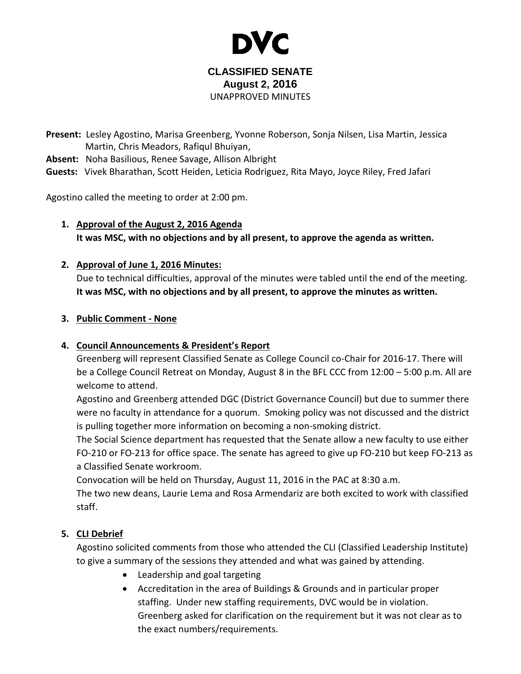

#### **CLASSIFIED SENATE August 2, 2016** UNAPPROVED MINUTES

**Present:** Lesley Agostino, Marisa Greenberg, Yvonne Roberson, Sonja Nilsen, Lisa Martin, Jessica Martin, Chris Meadors, Rafiqul Bhuiyan,

**Absent:** Noha Basilious, Renee Savage, Allison Albright

**Guests:** Vivek Bharathan, Scott Heiden, Leticia Rodriguez, Rita Mayo, Joyce Riley, Fred Jafari

Agostino called the meeting to order at 2:00 pm.

**1. Approval of the August 2, 2016 Agenda It was MSC, with no objections and by all present, to approve the agenda as written.**

## **2. Approval of June 1, 2016 Minutes:**

Due to technical difficulties, approval of the minutes were tabled until the end of the meeting. **It was MSC, with no objections and by all present, to approve the minutes as written.**

#### **3. Public Comment - None**

## **4. Council Announcements & President's Report**

Greenberg will represent Classified Senate as College Council co-Chair for 2016-17. There will be a College Council Retreat on Monday, August 8 in the BFL CCC from 12:00 – 5:00 p.m. All are welcome to attend.

Agostino and Greenberg attended DGC (District Governance Council) but due to summer there were no faculty in attendance for a quorum. Smoking policy was not discussed and the district is pulling together more information on becoming a non-smoking district.

The Social Science department has requested that the Senate allow a new faculty to use either FO-210 or FO-213 for office space. The senate has agreed to give up FO-210 but keep FO-213 as a Classified Senate workroom.

Convocation will be held on Thursday, August 11, 2016 in the PAC at 8:30 a.m.

The two new deans, Laurie Lema and Rosa Armendariz are both excited to work with classified staff.

## **5. CLI Debrief**

Agostino solicited comments from those who attended the CLI (Classified Leadership Institute) to give a summary of the sessions they attended and what was gained by attending.

- Leadership and goal targeting
- Accreditation in the area of Buildings & Grounds and in particular proper staffing. Under new staffing requirements, DVC would be in violation. Greenberg asked for clarification on the requirement but it was not clear as to the exact numbers/requirements.